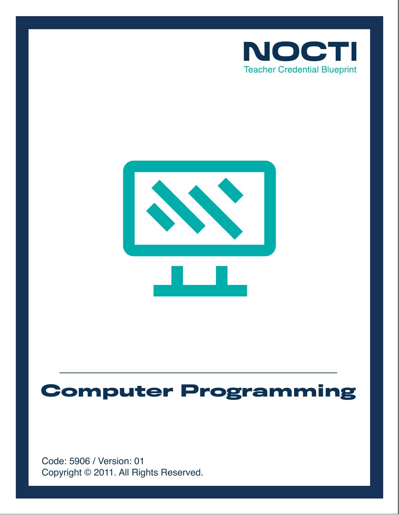



# **Computer Programming**

Copyright © 2011. All Rights Reserved. Code: 5906 / Version: 01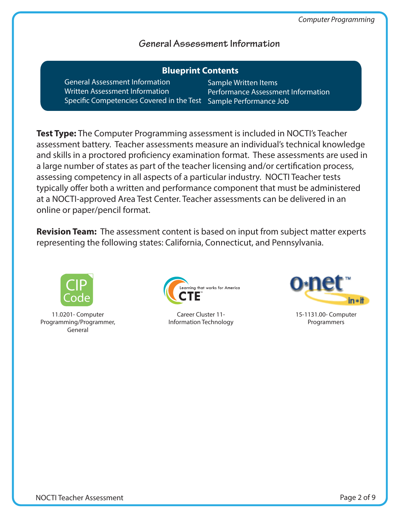**Information** 

# **General Assessment Information**

| <b>Blueprint Contents</b>                 |                               |
|-------------------------------------------|-------------------------------|
| <b>General Assessment Information</b>     | Sample Written Items          |
| <b>Written Assessment Information</b>     | <b>Performance Assessment</b> |
| Specific Competencies Covered in the Test | Sample Performance Job        |

**Test Type:** The Computer Programming assessment is included in NOCTI's Teacher assessment battery. Teacher assessments measure an individual's technical knowledge and skills in a proctored proficiency examination format. These assessments are used in a large number of states as part of the teacher licensing and/or certification process, assessing competency in all aspects of a particular industry. NOCTI Teacher tests typically offer both a written and performance component that must be administered at a NOCTI-approved Area Test Center. Teacher assessments can be delivered in an online or paper/pencil format.

**Revision Team:** The assessment content is based on input from subject matter experts representing the following states: California, Connecticut, and Pennsylvania.



11.0201- Computer Programming/Programmer, General



Career Cluster 11- Information Technology



15-1131.00- Computer Programmers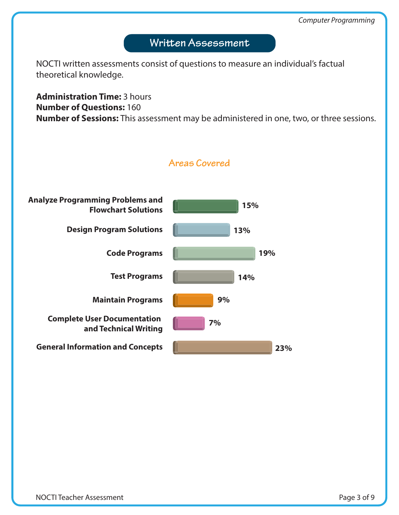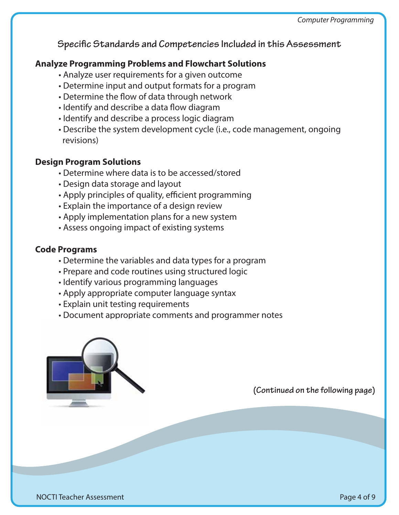**Specific Standards and Competencies Included in this Assessment** 

#### **Analyze Programming Problems and Flowchart Solutions**

- Analyze user requirements for a given outcome
- Determine input and output formats for a program
- Determine the flow of data through network
- Identify and describe a data flow diagram
- Identify and describe a process logic diagram
- Describe the system development cycle (i.e., code management, ongoing revisions)

#### **Design Program Solutions**

- Determine where data is to be accessed/stored
- Design data storage and layout
- Apply principles of quality, efficient programming
- Explain the importance of a design review
- Apply implementation plans for a new system
- Assess ongoing impact of existing systems

#### **Code Programs**

- Determine the variables and data types for a program
- Prepare and code routines using structured logic
- Identify various programming languages
- Apply appropriate computer language syntax
- Explain unit testing requirements
- Document appropriate comments and programmer notes

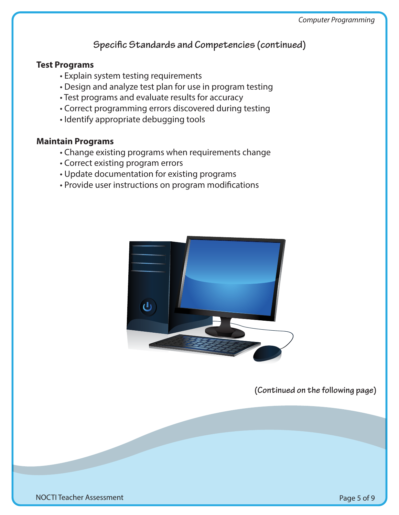# **Specific Standards and Competencies (continued)**

#### **Test Programs**

- Explain system testing requirements
- Design and analyze test plan for use in program testing
- Test programs and evaluate results for accuracy
- Correct programming errors discovered during testing
- Identify appropriate debugging tools

#### **Maintain Programs**

- Change existing programs when requirements change
- Correct existing program errors
- Update documentation for existing programs
- Provide user instructions on program modifications



**(Continued on the following page)**

NOCTI Teacher Assessment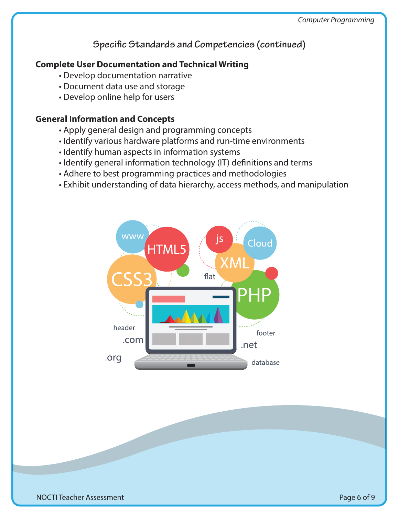# **Specific Standards and Competencies (continued)**

## **Complete User Documentation and Technical Writing**

- Develop documentation narrative
- Document data use and storage
- Develop online help for users

#### **General Information and Concepts**

- Apply general design and programming concepts
- Identify various hardware platforms and run-time environments
- Identify human aspects in information systems
- Identify general information technology (IT) definitions and terms
- Adhere to best programming practices and methodologies
- Exhibit understanding of data hierarchy, access methods, and manipulation

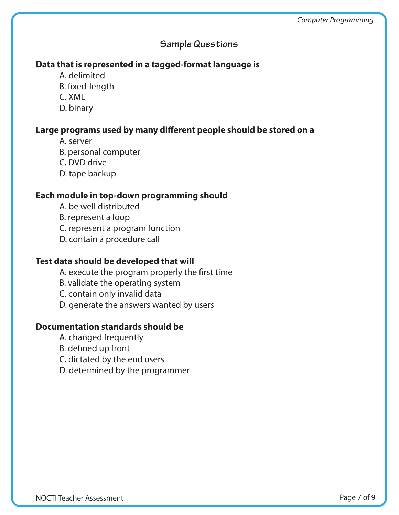## **Sample Questions**

#### **Data that is represented in a tagged-format language is**

- A. delimited
- B. fixed-length
- C. XML
- D. binary

#### Large programs used by many different people should be stored on a

- A. server
- B. personal computer
- C. DVD drive
- D. tape backup

#### **Each module in top-down programming should**

- A. be well distributed
- B. represent a loop
- C. represent a program function
- D. contain a procedure call

#### **Test data should be developed that will**

- A. execute the program properly the first time
- B. validate the operating system
- C. contain only invalid data
- D. generate the answers wanted by users

#### **Documentation standards should be**

- A. changed frequently
- B. defined up front
- C. dictated by the end users
- D. determined by the programmer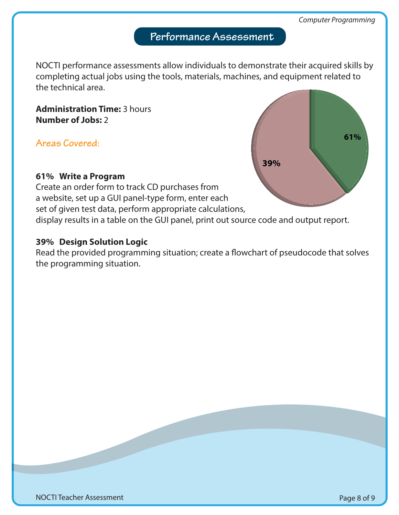# **Performance Assessment**

NOCTI performance assessments allow individuals to demonstrate their acquired skills by completing actual jobs using the tools, materials, machines, and equipment related to the technical area.

**Administration Time:** 3 hours **Number of Jobs:** 2

**Areas Covered:** 

# **61% Write a Program**

Create an order form to track CD purchases from a website, set up a GUI panel-type form, enter each set of given test data, perform appropriate calculations, display results in a table on the GUI panel, print out source code and output report.

# **39% Design Solution Logic**

Read the provided programming situation; create a flowchart of pseudocode that solves the programming situation.